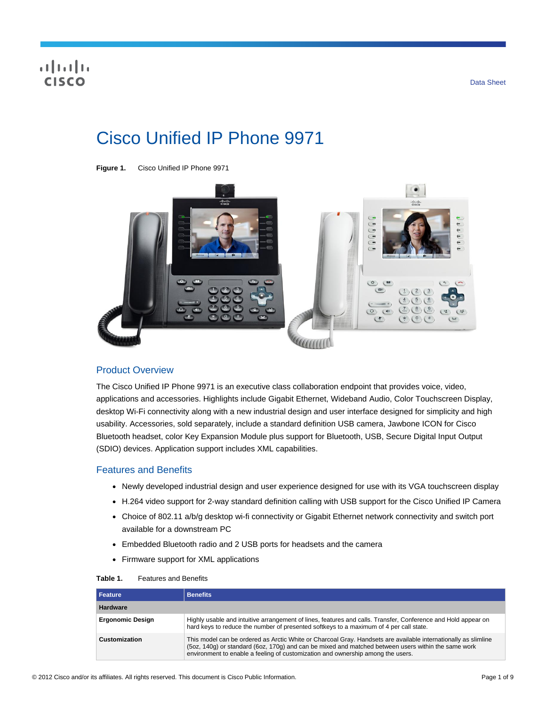# Cisco Unified IP Phone 9971





## Product Overview

The Cisco Unified IP Phone 9971 is an executive class collaboration endpoint that provides voice, video, applications and accessories. Highlights include Gigabit Ethernet, Wideband Audio, Color Touchscreen Display, desktop Wi-Fi connectivity along with a new industrial design and user interface designed for simplicity and high usability. Accessories, sold separately, include a standard definition USB camera, Jawbone ICON for Cisco Bluetooth headset, color Key Expansion Module plus support for Bluetooth, USB, Secure Digital Input Output (SDIO) devices. Application support includes XML capabilities.

#### Features and Benefits

- Newly developed industrial design and user experience designed for use with its VGA touchscreen display
- H.264 video support for 2-way standard definition calling with USB support for the Cisco Unified IP Camera
- Choice of 802.11 a/b/g desktop wi-fi connectivity or Gigabit Ethernet network connectivity and switch port available for a downstream PC
- Embedded Bluetooth radio and 2 USB ports for headsets and the camera
- Firmware support for XML applications

| Table 1. | <b>Features and Benefits</b> |  |
|----------|------------------------------|--|
|          |                              |  |

| <b>Feature</b>          | <b>Benefits</b>                                                                                                                                                                                                                                                                                          |
|-------------------------|----------------------------------------------------------------------------------------------------------------------------------------------------------------------------------------------------------------------------------------------------------------------------------------------------------|
| <b>Hardware</b>         |                                                                                                                                                                                                                                                                                                          |
| <b>Ergonomic Design</b> | Highly usable and intuitive arrangement of lines, features and calls. Transfer, Conference and Hold appear on<br>hard keys to reduce the number of presented softkeys to a maximum of 4 per call state.                                                                                                  |
| Customization           | This model can be ordered as Arctic White or Charcoal Gray. Handsets are available internationally as slimline<br>(5oz, 140g) or standard (6oz, 170g) and can be mixed and matched between users within the same work<br>environment to enable a feeling of customization and ownership among the users. |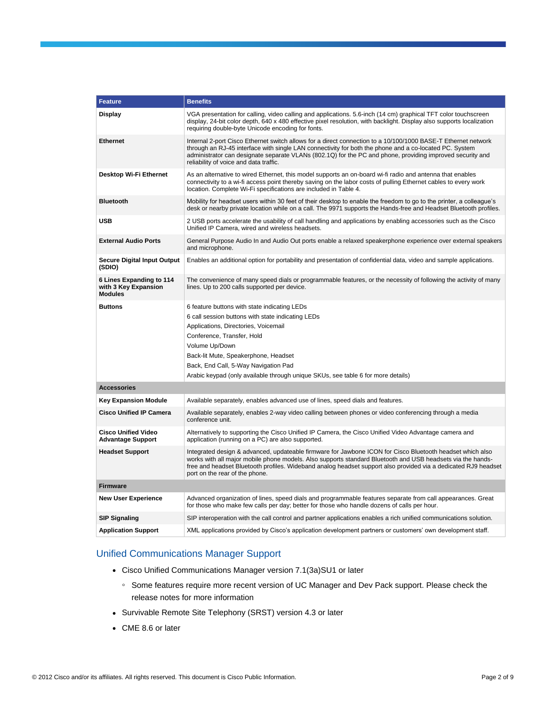| <b>Feature</b>                                                     | <b>Benefits</b>                                                                                                                                                                                                                                                                                                                                                                |
|--------------------------------------------------------------------|--------------------------------------------------------------------------------------------------------------------------------------------------------------------------------------------------------------------------------------------------------------------------------------------------------------------------------------------------------------------------------|
| Display                                                            | VGA presentation for calling, video calling and applications. 5.6-inch (14 cm) graphical TFT color touchscreen<br>display, 24-bit color depth, 640 x 480 effective pixel resolution, with backlight. Display also supports localization<br>requiring double-byte Unicode encoding for fonts.                                                                                   |
| <b>Ethernet</b>                                                    | Internal 2-port Cisco Ethernet switch allows for a direct connection to a 10/100/1000 BASE-T Ethernet network<br>through an RJ-45 interface with single LAN connectivity for both the phone and a co-located PC. System<br>administrator can designate separate VLANs (802.1Q) for the PC and phone, providing improved security and<br>reliability of voice and data traffic. |
| Desktop Wi-Fi Ethernet                                             | As an alternative to wired Ethernet, this model supports an on-board wi-fi radio and antenna that enables<br>connectivity to a wi-fi access point thereby saving on the labor costs of pulling Ethernet cables to every work<br>location. Complete Wi-Fi specifications are included in Table 4.                                                                               |
| <b>Bluetooth</b>                                                   | Mobility for headset users within 30 feet of their desktop to enable the freedom to go to the printer, a colleague's<br>desk or nearby private location while on a call. The 9971 supports the Hands-free and Headset Bluetooth profiles.                                                                                                                                      |
| <b>USB</b>                                                         | 2 USB ports accelerate the usability of call handling and applications by enabling accessories such as the Cisco<br>Unified IP Camera, wired and wireless headsets.                                                                                                                                                                                                            |
| <b>External Audio Ports</b>                                        | General Purpose Audio In and Audio Out ports enable a relaxed speakerphone experience over external speakers<br>and microphone.                                                                                                                                                                                                                                                |
| <b>Secure Digital Input Output</b><br>(SDIO)                       | Enables an additional option for portability and presentation of confidential data, video and sample applications.                                                                                                                                                                                                                                                             |
| 6 Lines Expanding to 114<br>with 3 Key Expansion<br><b>Modules</b> | The convenience of many speed dials or programmable features, or the necessity of following the activity of many<br>lines. Up to 200 calls supported per device.                                                                                                                                                                                                               |
| <b>Buttons</b>                                                     | 6 feature buttons with state indicating LEDs                                                                                                                                                                                                                                                                                                                                   |
|                                                                    | 6 call session buttons with state indicating LEDs                                                                                                                                                                                                                                                                                                                              |
|                                                                    | Applications, Directories, Voicemail                                                                                                                                                                                                                                                                                                                                           |
|                                                                    | Conference, Transfer, Hold                                                                                                                                                                                                                                                                                                                                                     |
|                                                                    | Volume Up/Down                                                                                                                                                                                                                                                                                                                                                                 |
|                                                                    | Back-lit Mute, Speakerphone, Headset                                                                                                                                                                                                                                                                                                                                           |
|                                                                    | Back, End Call, 5-Way Navigation Pad                                                                                                                                                                                                                                                                                                                                           |
|                                                                    | Arabic keypad (only available through unique SKUs, see table 6 for more details)                                                                                                                                                                                                                                                                                               |
| <b>Accessories</b>                                                 |                                                                                                                                                                                                                                                                                                                                                                                |
| <b>Key Expansion Module</b>                                        | Available separately, enables advanced use of lines, speed dials and features.                                                                                                                                                                                                                                                                                                 |
| <b>Cisco Unified IP Camera</b>                                     | Available separately, enables 2-way video calling between phones or video conferencing through a media<br>conference unit.                                                                                                                                                                                                                                                     |
| <b>Cisco Unified Video</b><br><b>Advantage Support</b>             | Alternatively to supporting the Cisco Unified IP Camera, the Cisco Unified Video Advantage camera and<br>application (running on a PC) are also supported.                                                                                                                                                                                                                     |
| <b>Headset Support</b>                                             | Integrated design & advanced, updateable firmware for Jawbone ICON for Cisco Bluetooth headset which also<br>works with all major mobile phone models. Also supports standard Bluetooth and USB headsets via the hands-<br>free and headset Bluetooth profiles. Wideband analog headset support also provided via a dedicated RJ9 headset<br>port on the rear of the phone.    |
| <b>Firmware</b>                                                    |                                                                                                                                                                                                                                                                                                                                                                                |
| <b>New User Experience</b>                                         | Advanced organization of lines, speed dials and programmable features separate from call appearances. Great<br>for those who make few calls per day; better for those who handle dozens of calls per hour.                                                                                                                                                                     |
| <b>SIP Signaling</b>                                               | SIP interoperation with the call control and partner applications enables a rich unified communications solution.                                                                                                                                                                                                                                                              |
| <b>Application Support</b>                                         | XML applications provided by Cisco's application development partners or customers' own development staff.                                                                                                                                                                                                                                                                     |
|                                                                    |                                                                                                                                                                                                                                                                                                                                                                                |

# Unified Communications Manager Support

- Cisco Unified Communications Manager version 7.1(3a)SU1 or later
	- Some features require more recent version of UC Manager and Dev Pack support. Please check the release notes for more information
- Survivable Remote Site Telephony (SRST) version 4.3 or later
- CME 8.6 or later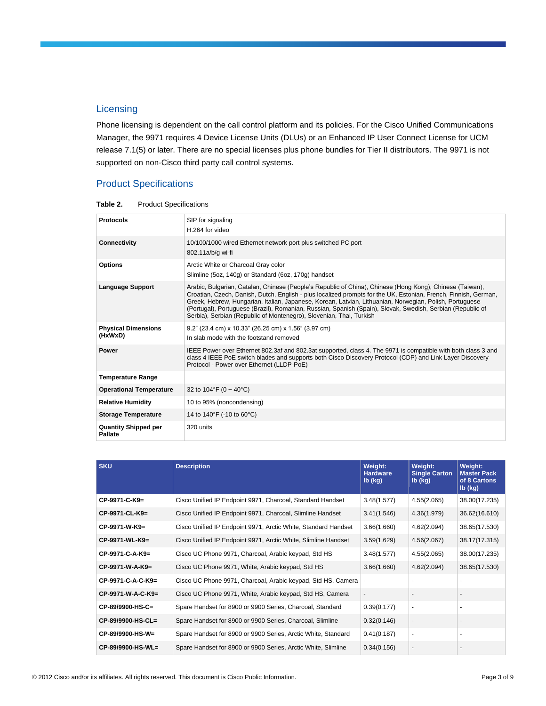## **Licensing**

Phone licensing is dependent on the call control platform and its policies. For the Cisco Unified Communications Manager, the 9971 requires 4 Device License Units (DLUs) or an Enhanced IP User Connect License for UCM release 7.1(5) or later. There are no special licenses plus phone bundles for Tier II distributors. The 9971 is not supported on non-Cisco third party call control systems.

# Product Specifications

| <b>Protocols</b>                       | SIP for signaling<br>H.264 for video                                                                                                                                                                                                                                                                                                                                                                                                                                                                                        |
|----------------------------------------|-----------------------------------------------------------------------------------------------------------------------------------------------------------------------------------------------------------------------------------------------------------------------------------------------------------------------------------------------------------------------------------------------------------------------------------------------------------------------------------------------------------------------------|
| Connectivity                           | 10/100/1000 wired Ethernet network port plus switched PC port<br>802.11a/b/g wi-fi                                                                                                                                                                                                                                                                                                                                                                                                                                          |
| <b>Options</b>                         | Arctic White or Charcoal Gray color<br>Slimline (5oz, 140g) or Standard (6oz, 170g) handset                                                                                                                                                                                                                                                                                                                                                                                                                                 |
| <b>Language Support</b>                | Arabic, Bulgarian, Catalan, Chinese (People's Republic of China), Chinese (Hong Kong), Chinese (Taiwan),<br>Croatian, Czech, Danish, Dutch, English - plus localized prompts for the UK, Estonian, French, Finnish, German,<br>Greek, Hebrew, Hungarian, Italian, Japanese, Korean, Latvian, Lithuanian, Norwegian, Polish, Portuguese<br>(Portugal), Portuguese (Brazil), Romanian, Russian, Spanish (Spain), Slovak, Swedish, Serbian (Republic of<br>Serbia), Serbian (Republic of Montenegro), Slovenian, Thai, Turkish |
| <b>Physical Dimensions</b><br>(HxWxD)  | 9.2" (23.4 cm) x 10.33" (26.25 cm) x 1.56" (3.97 cm)<br>In slab mode with the footstand removed                                                                                                                                                                                                                                                                                                                                                                                                                             |
| <b>Power</b>                           | IEEE Power over Ethernet 802.3af and 802.3at supported, class 4. The 9971 is compatible with both class 3 and<br>class 4 IEEE PoE switch blades and supports both Cisco Discovery Protocol (CDP) and Link Layer Discovery<br>Protocol - Power over Ethernet (LLDP-PoE)                                                                                                                                                                                                                                                      |
| <b>Temperature Range</b>               |                                                                                                                                                                                                                                                                                                                                                                                                                                                                                                                             |
| <b>Operational Temperature</b>         | 32 to $104^{\circ}F$ (0 ~ 40 $^{\circ}C$ )                                                                                                                                                                                                                                                                                                                                                                                                                                                                                  |
| <b>Relative Humidity</b>               | 10 to 95% (noncondensing)                                                                                                                                                                                                                                                                                                                                                                                                                                                                                                   |
| <b>Storage Temperature</b>             | 14 to 140°F (-10 to 60°C)                                                                                                                                                                                                                                                                                                                                                                                                                                                                                                   |
| <b>Quantity Shipped per</b><br>Pallate | 320 units                                                                                                                                                                                                                                                                                                                                                                                                                                                                                                                   |

| Table 2. | <b>Product Specifications</b> |
|----------|-------------------------------|
|----------|-------------------------------|

| <b>SKU</b>        | <b>Description</b>                                             | Weight:<br><b>Hardware</b><br>$Ib$ (kg) | Weight:<br><b>Single Carton</b><br>$Ib$ (kg) | Weight:<br><b>Master Pack</b><br>of 8 Cartons<br>$Ib$ (kg) |
|-------------------|----------------------------------------------------------------|-----------------------------------------|----------------------------------------------|------------------------------------------------------------|
| CP-9971-C-K9=     | Cisco Unified IP Endpoint 9971, Charcoal, Standard Handset     | 3.48(1.577)                             | 4.55(2.065)                                  | 38.00(17.235)                                              |
| CP-9971-CL-K9=    | Cisco Unified IP Endpoint 9971, Charcoal, Slimline Handset     | 3.41(1.546)                             | 4.36(1.979)                                  | 36.62(16.610)                                              |
| CP-9971-W-K9=     | Cisco Unified IP Endpoint 9971, Arctic White, Standard Handset | 3.66(1.660)                             | 4.62(2.094)                                  | 38.65(17.530)                                              |
| CP-9971-WL-K9=    | Cisco Unified IP Endpoint 9971, Arctic White, Slimline Handset | 3.59(1.629)                             | 4.56(2.067)                                  | 38.17(17.315)                                              |
| CP-9971-C-A-K9=   | Cisco UC Phone 9971, Charcoal, Arabic keypad, Std HS           | 3.48(1.577)                             | 4.55(2.065)                                  | 38.00(17.235)                                              |
| CP-9971-W-A-K9=   | Cisco UC Phone 9971, White, Arabic keypad, Std HS              | 3.66(1.660)                             | 4.62(2.094)                                  | 38.65(17.530)                                              |
| CP-9971-C-A-C-K9= | Cisco UC Phone 9971, Charcoal, Arabic keypad, Std HS, Camera   |                                         |                                              |                                                            |
| CP-9971-W-A-C-K9= | Cisco UC Phone 9971, White, Arabic keypad, Std HS, Camera      | $\blacksquare$                          |                                              |                                                            |
| CP-89/9900-HS-C=  | Spare Handset for 8900 or 9900 Series, Charcoal, Standard      | 0.39(0.177)                             | $\blacksquare$                               |                                                            |
| CP-89/9900-HS-CL= | Spare Handset for 8900 or 9900 Series, Charcoal, Slimline      | 0.32(0.146)                             | $\overline{\phantom{m}}$                     |                                                            |
| CP-89/9900-HS-W=  | Spare Handset for 8900 or 9900 Series, Arctic White, Standard  | 0.41(0.187)                             | $\blacksquare$                               |                                                            |
| CP-89/9900-HS-WL= | Spare Handset for 8900 or 9900 Series, Arctic White, Slimline  | 0.34(0.156)                             | $\overline{\phantom{a}}$                     |                                                            |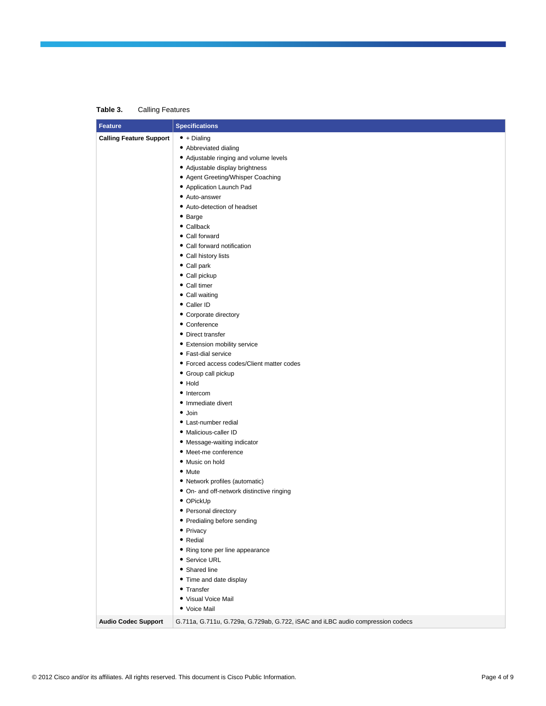#### **Table 3.** Calling Features

| <b>Feature</b>                 | <b>Specifications</b>                                                          |
|--------------------------------|--------------------------------------------------------------------------------|
| <b>Calling Feature Support</b> | $\bullet$ + Dialing                                                            |
|                                | • Abbreviated dialing                                                          |
|                                | • Adjustable ringing and volume levels                                         |
|                                | • Adjustable display brightness                                                |
|                                | • Agent Greeting/Whisper Coaching                                              |
|                                | • Application Launch Pad                                                       |
|                                | • Auto-answer                                                                  |
|                                | • Auto-detection of headset                                                    |
|                                | • Barge                                                                        |
|                                | • Callback                                                                     |
|                                | • Call forward                                                                 |
|                                | • Call forward notification                                                    |
|                                | • Call history lists                                                           |
|                                | • Call park                                                                    |
|                                | • Call pickup                                                                  |
|                                | • Call timer                                                                   |
|                                | • Call waiting                                                                 |
|                                | • Caller ID                                                                    |
|                                | • Corporate directory                                                          |
|                                | • Conference                                                                   |
|                                | • Direct transfer                                                              |
|                                | • Extension mobility service                                                   |
|                                | • Fast-dial service                                                            |
|                                | • Forced access codes/Client matter codes                                      |
|                                | • Group call pickup                                                            |
|                                | • Hold                                                                         |
|                                | • Intercom                                                                     |
|                                | · Immediate divert                                                             |
|                                | $\bullet$ Join                                                                 |
|                                | • Last-number redial                                                           |
|                                | · Malicious-caller ID                                                          |
|                                | • Message-waiting indicator                                                    |
|                                | • Meet-me conference                                                           |
|                                | • Music on hold                                                                |
|                                | • Mute                                                                         |
|                                | • Network profiles (automatic)                                                 |
|                                | • On- and off-network distinctive ringing                                      |
|                                | • OPickUp                                                                      |
|                                | • Personal directory                                                           |
|                                | • Predialing before sending                                                    |
|                                | • Privacy                                                                      |
|                                | • Redial                                                                       |
|                                | • Ring tone per line appearance                                                |
|                                | • Service URL                                                                  |
|                                | • Shared line                                                                  |
|                                | • Time and date display                                                        |
|                                | • Transfer                                                                     |
|                                | • Visual Voice Mail                                                            |
|                                | • Voice Mail                                                                   |
| <b>Audio Codec Support</b>     | G.711a, G.711u, G.729a, G.729ab, G.722, iSAC and iLBC audio compression codecs |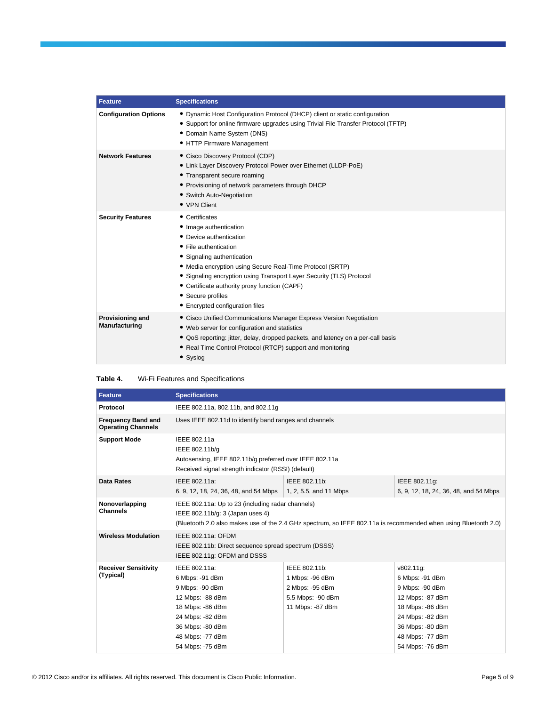| <b>Feature</b>                    | <b>Specifications</b>                                                                                                                                                                                                                                                                                                                                                    |
|-----------------------------------|--------------------------------------------------------------------------------------------------------------------------------------------------------------------------------------------------------------------------------------------------------------------------------------------------------------------------------------------------------------------------|
| <b>Configuration Options</b>      | • Dynamic Host Configuration Protocol (DHCP) client or static configuration<br>• Support for online firmware upgrades using Trivial File Transfer Protocol (TFTP)<br>• Domain Name System (DNS)<br>• HTTP Firmware Management                                                                                                                                            |
| <b>Network Features</b>           | • Cisco Discovery Protocol (CDP)<br>• Link Layer Discovery Protocol Power over Ethernet (LLDP-PoE)<br>• Transparent secure roaming<br>• Provisioning of network parameters through DHCP<br>• Switch Auto-Negotiation<br>• VPN Client                                                                                                                                     |
| <b>Security Features</b>          | • Certificates<br>• Image authentication<br>• Device authentication<br>• File authentication<br>• Signaling authentication<br>• Media encryption using Secure Real-Time Protocol (SRTP)<br>• Signaling encryption using Transport Layer Security (TLS) Protocol<br>• Certificate authority proxy function (CAPF)<br>• Secure profiles<br>• Encrypted configuration files |
| Provisioning and<br>Manufacturing | • Cisco Unified Communications Manager Express Version Negotiation<br>• Web server for configuration and statistics<br>• QoS reporting: jitter, delay, dropped packets, and latency on a per-call basis<br>• Real Time Control Protocol (RTCP) support and monitoring<br>• Syslog                                                                                        |

| Table 4. | Wi-Fi Features and Specifications |
|----------|-----------------------------------|
|----------|-----------------------------------|

| <b>Feature</b>                                         | <b>Specifications</b>                                                                                                                                                                                    |                                                                                              |                                                                                                                                                                         |  |
|--------------------------------------------------------|----------------------------------------------------------------------------------------------------------------------------------------------------------------------------------------------------------|----------------------------------------------------------------------------------------------|-------------------------------------------------------------------------------------------------------------------------------------------------------------------------|--|
| Protocol                                               | IEEE 802.11a, 802.11b, and 802.11g                                                                                                                                                                       |                                                                                              |                                                                                                                                                                         |  |
| <b>Frequency Band and</b><br><b>Operating Channels</b> |                                                                                                                                                                                                          | Uses IEEE 802.11d to identify band ranges and channels                                       |                                                                                                                                                                         |  |
| <b>Support Mode</b>                                    | IEEE 802.11a<br>IEEE 802.11b/g<br>Autosensing, IEEE 802.11b/g preferred over IEEE 802.11a<br>Received signal strength indicator (RSSI) (default)                                                         |                                                                                              |                                                                                                                                                                         |  |
| <b>Data Rates</b>                                      | IEEE 802.11a:<br>6, 9, 12, 18, 24, 36, 48, and 54 Mbps                                                                                                                                                   | IEEE 802.11b:<br>1, 2, 5.5, and 11 Mbps                                                      | IEEE 802.11g:<br>6, 9, 12, 18, 24, 36, 48, and 54 Mbps                                                                                                                  |  |
| Nonoverlapping<br><b>Channels</b>                      | IEEE 802.11a: Up to 23 (including radar channels)<br>IEEE 802.11b/g: 3 (Japan uses 4)<br>(Bluetooth 2.0 also makes use of the 2.4 GHz spectrum, so IEEE 802.11a is recommended when using Bluetooth 2.0) |                                                                                              |                                                                                                                                                                         |  |
| <b>Wireless Modulation</b>                             | IEEE 802.11a: OFDM<br>IEEE 802.11b: Direct sequence spread spectrum (DSSS)<br>IEEE 802.11g: OFDM and DSSS                                                                                                |                                                                                              |                                                                                                                                                                         |  |
| <b>Receiver Sensitivity</b><br>(Typical)               | IEEE 802.11a:<br>6 Mbps: -91 dBm<br>9 Mbps: -90 dBm<br>12 Mbps: -88 dBm<br>18 Mbps: -86 dBm<br>24 Mbps: -82 dBm<br>36 Mbps: -80 dBm<br>48 Mbps: -77 dBm<br>54 Mbps: -75 dBm                              | IEEE 802.11b:<br>1 Mbps: -96 dBm<br>2 Mbps: -95 dBm<br>5.5 Mbps: -90 dBm<br>11 Mbps: -87 dBm | v802.11g:<br>6 Mbps: -91 dBm<br>9 Mbps: -90 dBm<br>12 Mbps: -87 dBm<br>18 Mbps: -86 dBm<br>24 Mbps: -82 dBm<br>36 Mbps: -80 dBm<br>48 Mbps: -77 dBm<br>54 Mbps: -76 dBm |  |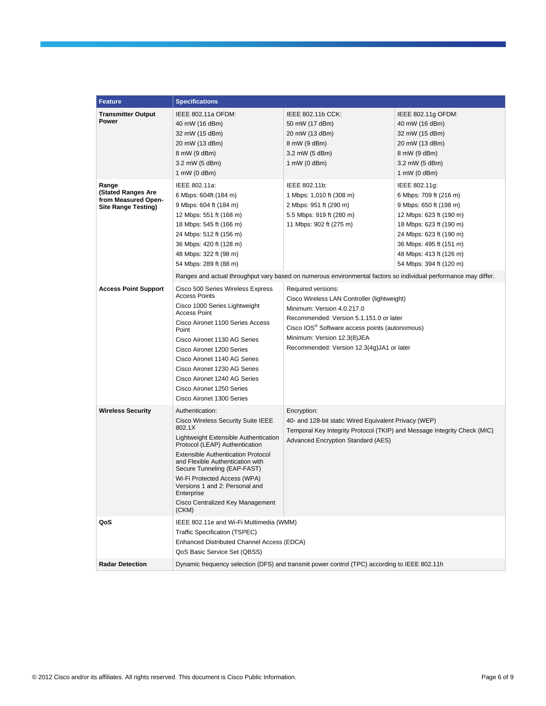| <b>Feature</b>                                                                          | <b>Specifications</b>                                                                                                                                                                                                                                                                                                                                                                   |                                                                                                                                                                                                                                                                                      |                                                                                                                                                                                                                                     |
|-----------------------------------------------------------------------------------------|-----------------------------------------------------------------------------------------------------------------------------------------------------------------------------------------------------------------------------------------------------------------------------------------------------------------------------------------------------------------------------------------|--------------------------------------------------------------------------------------------------------------------------------------------------------------------------------------------------------------------------------------------------------------------------------------|-------------------------------------------------------------------------------------------------------------------------------------------------------------------------------------------------------------------------------------|
| <b>Transmitter Output</b><br>Power                                                      | IEEE 802.11a OFDM:<br>40 mW (16 dBm)<br>32 mW (15 dBm)<br>20 mW (13 dBm)<br>8 mW (9 dBm)<br>3.2 mW (5 dBm)<br>1 mW $(0$ dBm $)$                                                                                                                                                                                                                                                         | IEEE 802.11b CCK:<br>50 mW (17 dBm)<br>20 mW (13 dBm)<br>8 mW (9 dBm)<br>3.2 mW (5 dBm)<br>1 mW (0 dBm)                                                                                                                                                                              | IEEE 802.11g OFDM:<br>40 mW (16 dBm)<br>32 mW (15 dBm)<br>20 mW (13 dBm)<br>8 mW (9 dBm)<br>3.2 mW (5 dBm)<br>1 mW (0 dBm)                                                                                                          |
| Range<br><b>(Stated Ranges Are</b><br>from Measured Open-<br><b>Site Range Testing)</b> | IEEE 802.11a:<br>6 Mbps: 604ft (184 m)<br>9 Mbps: 604 ft (184 m)<br>12 Mbps: 551 ft (168 m)<br>18 Mbps: 545 ft (166 m)<br>24 Mbps: 512 ft (156 m)<br>36 Mbps: 420 ft (128 m)<br>48 Mbps: 322 ft (98 m)<br>54 Mbps: 289 ft (88 m)                                                                                                                                                        | IEEE 802.11b:<br>1 Mbps: 1,010 ft (308 m)<br>2 Mbps: 951 ft (290 m)<br>5.5 Mbps: 919 ft (280 m)<br>11 Mbps: 902 ft (275 m)                                                                                                                                                           | IEEE 802.11g:<br>6 Mbps: 709 ft (216 m)<br>9 Mbps: 650 ft (198 m)<br>12 Mbps: 623 ft (190 m)<br>18 Mbps: 623 ft (190 m)<br>24 Mbps: 623 ft (190 m)<br>36 Mbps: 495 ft (151 m)<br>48 Mbps: 413 ft (126 m)<br>54 Mbps: 394 ft (120 m) |
|                                                                                         |                                                                                                                                                                                                                                                                                                                                                                                         | Ranges and actual throughput vary based on numerous environmental factors so individual performance may differ.                                                                                                                                                                      |                                                                                                                                                                                                                                     |
| <b>Access Point Support</b>                                                             | Cisco 500 Series Wireless Express<br><b>Access Points</b><br>Cisco 1000 Series Lightweight<br><b>Access Point</b><br>Cisco Aironet 1100 Series Access<br>Point<br>Cisco Aironet 1130 AG Series<br>Cisco Aironet 1200 Series<br>Cisco Aironet 1140 AG Series<br>Cisco Aironet 1230 AG Series<br>Cisco Aironet 1240 AG Series<br>Cisco Aironet 1250 Series<br>Cisco Aironet 1300 Series   | Required versions:<br>Cisco Wireless LAN Controller (lightweight)<br>Minimum: Version 4.0.217.0<br>Recommended: Version 5.1.151.0 or later<br>Cisco IOS <sup>®</sup> Software access points (autonomous)<br>Minimum: Version 12.3(8)JEA<br>Recommended: Version 12.3(4g)JA1 or later |                                                                                                                                                                                                                                     |
| <b>Wireless Security</b>                                                                | Authentication:<br>Cisco Wireless Security Suite IEEE<br>802.1X<br>Lightweight Extensible Authentication<br>Protocol (LEAP) Authentication<br><b>Extensible Authentication Protocol</b><br>and Flexible Authentication with<br>Secure Tunneling (EAP-FAST)<br>Wi-Fi Protected Access (WPA)<br>Versions 1 and 2: Personal and<br>Enterprise<br>Cisco Centralized Key Management<br>(CKM) | Encryption:<br>40- and 128-bit static Wired Equivalent Privacy (WEP)<br>Temporal Key Integrity Protocol (TKIP) and Message Integrity Check (MIC)<br>Advanced Encryption Standard (AES)                                                                                               |                                                                                                                                                                                                                                     |
| QoS                                                                                     | IEEE 802.11e and Wi-Fi Multimedia (WMM)<br><b>Traffic Specification (TSPEC)</b><br>Enhanced Distributed Channel Access (EDCA)<br>QoS Basic Service Set (QBSS)                                                                                                                                                                                                                           |                                                                                                                                                                                                                                                                                      |                                                                                                                                                                                                                                     |
| <b>Radar Detection</b>                                                                  |                                                                                                                                                                                                                                                                                                                                                                                         | Dynamic frequency selection (DFS) and transmit power control (TPC) according to IEEE 802.11h                                                                                                                                                                                         |                                                                                                                                                                                                                                     |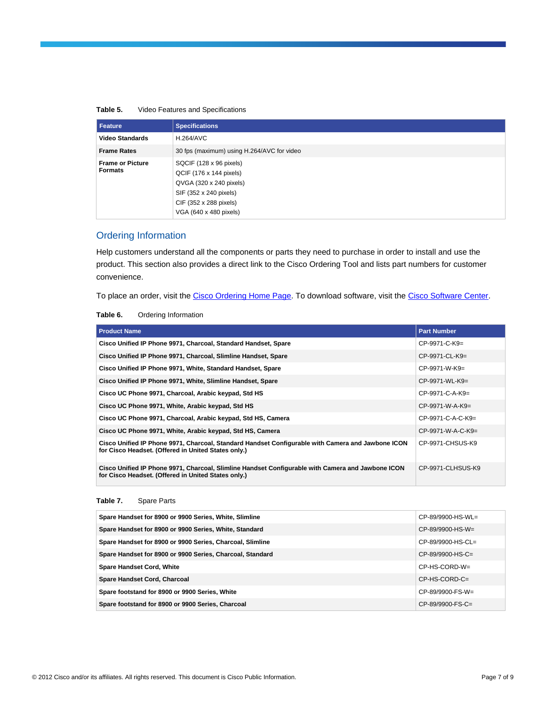| Table 5. |  | Video Features and Specifications |
|----------|--|-----------------------------------|
|          |  |                                   |

| Feature                                   | <b>Specifications</b>                                                                                                                                       |
|-------------------------------------------|-------------------------------------------------------------------------------------------------------------------------------------------------------------|
| <b>Video Standards</b>                    | <b>H.264/AVC</b>                                                                                                                                            |
| <b>Frame Rates</b>                        | 30 fps (maximum) using H.264/AVC for video                                                                                                                  |
| <b>Frame or Picture</b><br><b>Formats</b> | SQCIF (128 x 96 pixels)<br>QCIF (176 x 144 pixels)<br>QVGA (320 x 240 pixels)<br>SIF (352 x 240 pixels)<br>CIF (352 x 288 pixels)<br>VGA (640 x 480 pixels) |

# Ordering Information

Help customers understand all the components or parts they need to purchase in order to install and use the product. This section also provides a direct link to the Cisco Ordering Tool and lists part numbers for customer convenience.

To place an order, visit th[e Cisco Ordering Home Page.](http://www.cisco.com/en/US/ordering/or13/or8/order_customer_help_how_to_order_listing.html) To download software, visit th[e Cisco Software Center.](http://www.cisco.com/kobayashi/sw-center/sw-ios.shtml)

#### **Table 6.** Ordering Information

| <b>Product Name</b>                                                                                                                                      | <b>Part Number</b>  |
|----------------------------------------------------------------------------------------------------------------------------------------------------------|---------------------|
| Cisco Unified IP Phone 9971, Charcoal, Standard Handset, Spare                                                                                           | $CP-9971-C-K9=$     |
| Cisco Unified IP Phone 9971, Charcoal, Slimline Handset, Spare                                                                                           | $CP-9971-CL-K9=$    |
| Cisco Unified IP Phone 9971, White, Standard Handset, Spare                                                                                              | $CP-9971-W-K9=$     |
| Cisco Unified IP Phone 9971, White, Slimline Handset, Spare                                                                                              | $CP-9971-WL-K9=$    |
| Cisco UC Phone 9971, Charcoal, Arabic keypad, Std HS                                                                                                     | $CP-9971-C-A-K9=$   |
| Cisco UC Phone 9971, White, Arabic keypad, Std HS                                                                                                        | $CP-9971-W-A-K9=$   |
| Cisco UC Phone 9971, Charcoal, Arabic keypad, Std HS, Camera                                                                                             | $CP-9971-C-A-C-K9=$ |
| Cisco UC Phone 9971, White, Arabic keypad, Std HS, Camera                                                                                                | $CP-9971-W-A-C-K9=$ |
| Cisco Unified IP Phone 9971, Charcoal, Standard Handset Configurable with Camera and Jawbone ICON<br>for Cisco Headset. (Offered in United States only.) | CP-9971-CHSUS-K9    |
| Cisco Unified IP Phone 9971, Charcoal, Slimline Handset Configurable with Camera and Jawbone ICON<br>for Cisco Headset. (Offered in United States only.) | CP-9971-CLHSUS-K9   |

#### **Table 7.** Spare Parts

| Spare Handset for 8900 or 9900 Series, White, Slimline    | $CP-89/9900-HS-WL=$ |
|-----------------------------------------------------------|---------------------|
| Spare Handset for 8900 or 9900 Series, White, Standard    | $CP-89/9900-HS-W=$  |
| Spare Handset for 8900 or 9900 Series, Charcoal, Slimline | $CP-89/9900-HS-CL=$ |
| Spare Handset for 8900 or 9900 Series, Charcoal, Standard | $CP-89/9900-HS-C=$  |
| <b>Spare Handset Cord, White</b>                          | CP-HS-CORD-W=       |
| Spare Handset Cord, Charcoal                              | $CP$ -HS-CORD-C=    |
| Spare footstand for 8900 or 9900 Series, White            | $CP-89/9900-FS-W=$  |
| Spare footstand for 8900 or 9900 Series, Charcoal         | $CP-89/9900-FS-C=$  |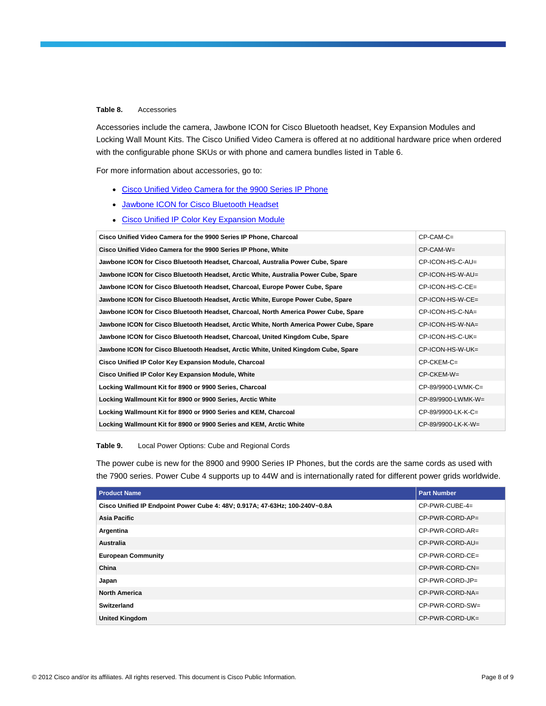#### **Table 8.** Accessories

Accessories include the camera, Jawbone ICON for Cisco Bluetooth headset, Key Expansion Modules and Locking Wall Mount Kits. The Cisco Unified Video Camera is offered at no additional hardware price when ordered with the configurable phone SKUs or with phone and camera bundles listed in Table 6.

For more information about accessories, go to:

- [Cisco Unified Video Camera for the 9900 Series IP Phone](http://www.cisco.com/en/US/products/ps10677/index.html)
- [Jawbone ICON for Cisco Bluetooth Headset](http://www.cisco.com/en/US/products/ps11204/index.html)
- [Cisco Unified IP Color Key Expansion Module](http://www.cisco.com/en/US/products/ps10676/index.html)

| Cisco Unified Video Camera for the 9900 Series IP Phone, Charcoal                       | $CP-CAM-C=$          |
|-----------------------------------------------------------------------------------------|----------------------|
| Cisco Unified Video Camera for the 9900 Series IP Phone, White                          | $CP-CAM-W=$          |
| Jawbone ICON for Cisco Bluetooth Headset, Charcoal, Australia Power Cube, Spare         | CP-ICON-HS-C-AU=     |
| Jawbone ICON for Cisco Bluetooth Headset, Arctic White, Australia Power Cube, Spare     | CP-ICON-HS-W-AU=     |
| Jawbone ICON for Cisco Bluetooth Headset, Charcoal, Europe Power Cube, Spare            | CP-ICON-HS-C-CE=     |
| Jawbone ICON for Cisco Bluetooth Headset, Arctic White, Europe Power Cube, Spare        | CP-ICON-HS-W-CE=     |
| Jawbone ICON for Cisco Bluetooth Headset, Charcoal, North America Power Cube, Spare     | CP-ICON-HS-C-NA=     |
| Jawbone ICON for Cisco Bluetooth Headset, Arctic White, North America Power Cube, Spare | $CP$ -ICON-HS-W-NA=  |
| Jawbone ICON for Cisco Bluetooth Headset, Charcoal, United Kingdom Cube, Spare          | CP-ICON-HS-C-UK=     |
| Jawbone ICON for Cisco Bluetooth Headset, Arctic White, United Kingdom Cube, Spare      | CP-ICON-HS-W-UK=     |
| Cisco Unified IP Color Key Expansion Module, Charcoal                                   | $CP$ -CKEM-C=        |
| Cisco Unified IP Color Key Expansion Module, White                                      | CP-CKEM-W=           |
| Locking Wallmount Kit for 8900 or 9900 Series, Charcoal                                 | CP-89/9900-LWMK-C=   |
| Locking Wallmount Kit for 8900 or 9900 Series, Arctic White                             | CP-89/9900-LWMK-W=   |
| Locking Wallmount Kit for 8900 or 9900 Series and KEM, Charcoal                         | $CP-89/9900-LK-K-C=$ |
| Locking Wallmount Kit for 8900 or 9900 Series and KEM, Arctic White                     | CP-89/9900-LK-K-W=   |

#### **Table 9.** Local Power Options: Cube and Regional Cords

The power cube is new for the 8900 and 9900 Series IP Phones, but the cords are the same cords as used with the 7900 series. Power Cube 4 supports up to 44W and is internationally rated for different power grids worldwide.

| <b>Product Name</b>                                                         | <b>Part Number</b> |
|-----------------------------------------------------------------------------|--------------------|
| Cisco Unified IP Endpoint Power Cube 4: 48V; 0.917A; 47-63Hz; 100-240V~0.8A | CP-PWR-CUBE-4=     |
| Asia Pacific                                                                | CP-PWR-CORD-AP=    |
| Argentina                                                                   | CP-PWR-CORD-AR=    |
| <b>Australia</b>                                                            | CP-PWR-CORD-AU=    |
| <b>European Community</b>                                                   | CP-PWR-CORD-CE=    |
| China                                                                       | CP-PWR-CORD-CN=    |
| Japan                                                                       | CP-PWR-CORD-JP=    |
| <b>North America</b>                                                        | CP-PWR-CORD-NA=    |
| Switzerland                                                                 | CP-PWR-CORD-SW=    |
| <b>United Kingdom</b>                                                       | CP-PWR-CORD-UK=    |